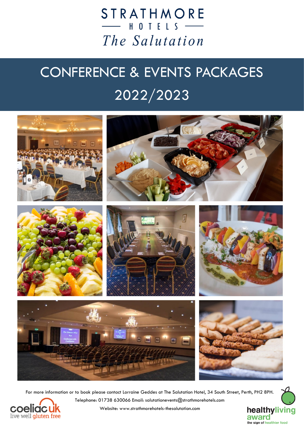# **STRATHMORE**  $H$  O T E L S and the set The Salutation

# CONFERENCE & EVENTS PACKAGES 2022/2023



For more information or to book please contact Lorraine Geddes at The Salutation Hotel, 34 South Street, Perth, PH2 8PH. Telephone: 01738 630066 Email: salutationevents@strathmorehotels.com



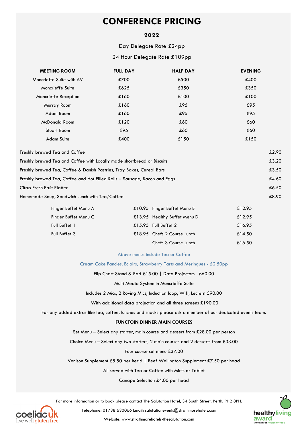# **CONFERENCE PRICING**

# **2022**

Day Delegate Rate £24pp

### 24 Hour Delegate Rate £109pp

| <b>MEETING ROOM</b>      | <b>FULL DAY</b> | <b>HALF DAY</b> | <b>EVENING</b> |
|--------------------------|-----------------|-----------------|----------------|
| Moncrieffe Suite with AV | £700            | £500            | £400           |
| Moncrieffe Suite         | £625            | £350            | £350           |
| Moncrieffe Reception     | £160            | £100            | £100           |
| Murray Room              | £160            | £95             | £95            |
| Adam Room                | £160            | £95             | £95            |
| McDonald Room            | £120            | £60             | £60            |
| Stuart Room              | £95             | £60             | £60            |
| Adam Suite               | £400            | £150            | £150           |

| Freshly brewed Tea and Coffee                                             | £2.90 |
|---------------------------------------------------------------------------|-------|
| Freshly brewed Tea and Coffee with Locally made shortbread or Biscuits    | £3.20 |
| Freshly brewed Tea, Coffee & Danish Pastries, Tray Bakes, Cereal Bars     | £3.50 |
| Freshly brewed Tea, Coffee and Hot Filled Rolls - Sausage, Bacon and Eggs | £4.60 |
| <b>Citrus Fresh Fruit Platter</b>                                         | £6.50 |
| Homemade Soup, Sandwich Lunch with Tea/Coffee                             | £8.90 |

| Finger Buffet Menu A | £10.95 Finger Buffet Menu B  | £12.95 |
|----------------------|------------------------------|--------|
| Finger Buffet Menu C | £13.95 Healthy Buffet Menu D | £12.95 |
| Full Buffet 1        | $£15.95$ Full Buffet 2       | £16.95 |
| Full Buffet 3        | £18.95 Chefs 2 Course Lunch  | £14.50 |
|                      | Chefs 3 Course Lunch         | £16.50 |

#### Above menus include Tea or Coffee

#### Cream Cake Fancies, Eclairs, Strawberry Tarts and Meringues - £2.50pp

Flip Chart Stand & Pad £15.00 | Data Projectors £60.00

Multi Media System in Moncrieffe Suite

Includes 2 Mics, 2 Roving Mics, Induction loop, Wifi, Lectern £90.00

With additional data projection and all three screens £190.00

For any added extras like tea, coffee, lunches and snacks please ask a member of our dedicated events team.

### **FUNCTOIN DINNER MAIN COURSES**

Set Menu – Select any starter, main course and dessert from £28.00 per person

Choice Menu – Select any two starters, 2 main courses and 2 desserts from £33.00

#### Four course set menu £37.00

Venison Supplement £5.50 per head | Beef Wellington Supplement £7.50 per head

All served with Tea or Coffee with Mints or Tablet

Canape Selection £4.00 per head

For more information or to book please contact The Salutation Hotel, 34 South Street, Perth, PH2 8PH.

live well *gluten* free

Telephone: 01738 630066 Email: salutationevents@strathmorehotels.com

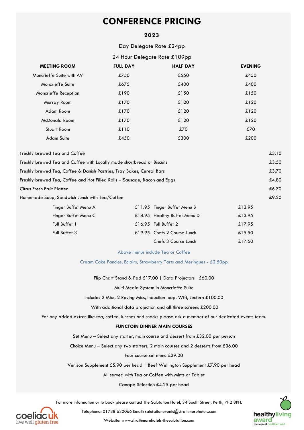# **CONFERENCE PRICING**

## **2023**

### Day Delegate Rate £24pp

|                                                                           | 24 Hour Delegate Rate £109pp |                              |                |       |  |
|---------------------------------------------------------------------------|------------------------------|------------------------------|----------------|-------|--|
| <b>MEETING ROOM</b>                                                       | <b>FULL DAY</b>              | <b>HALF DAY</b>              | <b>EVENING</b> |       |  |
| Moncrieffe Suite with AV                                                  | £750                         | £550                         | £450           |       |  |
| Moncrieffe Suite                                                          | £675                         | £400                         | £400           |       |  |
| Moncrieffe Reception                                                      | £190                         | £150                         | £150           |       |  |
| Murray Room                                                               | £170                         | £120                         | £120           |       |  |
| Adam Room                                                                 | £170                         | £120                         | £120           |       |  |
| <b>McDonald Room</b>                                                      | £170                         | £120                         | £120           |       |  |
| <b>Stuart Room</b>                                                        | £110                         | £70                          | £70            |       |  |
| <b>Adam Suite</b>                                                         | £450                         | £300                         | £200           |       |  |
| Freshly brewed Tea and Coffee                                             |                              |                              |                | £3.10 |  |
| Freshly brewed Tea and Coffee with Locally made shortbread or Biscuits    |                              |                              |                |       |  |
| Freshly brewed Tea, Coffee & Danish Pastries, Tray Bakes, Cereal Bars     |                              |                              |                |       |  |
| Freshly brewed Tea, Coffee and Hot Filled Rolls – Sausage, Bacon and Eggs |                              |                              |                |       |  |
| Citrus Fresh Fruit Platter                                                |                              |                              |                |       |  |
| Homemade Soup, Sandwich Lunch with Tea/Coffee                             |                              |                              |                |       |  |
| Finger Buffet Menu A                                                      |                              | £11.95 Finger Buffet Menu B  | £13.95         |       |  |
| Finger Buffet Menu C                                                      |                              | £14.95 Healthy Buffet Menu D | £13.95         |       |  |
| Full Buffet 1                                                             |                              | £16.95 Full Buffet 2         | £17.95         |       |  |

Above menus include Tea or Coffee

Chefs 3 Course Lunch £17.50

Full Buffet 3 £19.95 Chefs 2 Course Lunch £15.50

Cream Cake Fancies, Eclairs, Strawberry Tarts and Meringues - £2.50pp

Flip Chart Stand & Pad £17.00 | Data Projectors £60.00

Multi Media System in Moncrieffe Suite

Includes 2 Mics, 2 Roving Mics, Induction loop, Wifi, Lectern £100.00

With additional data projection and all three screens £200.00

For any added extras like tea, coffee, lunches and snacks please ask a member of our dedicated events team.

### **FUNCTOIN DINNER MAIN COURSES**

Set Menu – Select any starter, main course and dessert from £32.00 per person

Choice Menu – Select any two starters, 2 main courses and 2 desserts from £36.00

Four course set menu £39.00

Venison Supplement £5.90 per head | Beef Wellington Supplement £7.90 per head

All served with Tea or Coffee with Mints or Tablet

Canape Selection £4.25 per head

For more information or to book please contact The Salutation Hotel, 34 South Street, Perth, PH2 8PH. Telephone: 01738 630066 Email: salutationevents@strathmorehotels.com

live well *gluten* free

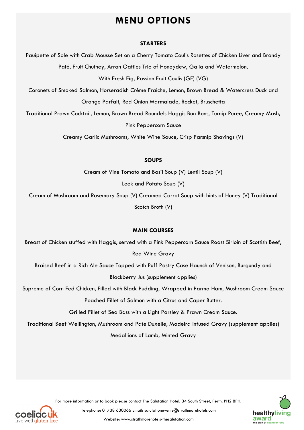# **MENU OPTIONS**

### **STARTERS**

Pauipette of Sole with Crab Mousse Set on a Cherry Tomato Coulis Rosettes of Chicken Liver and Brandy

Paté, Fruit Chutney, Arran Oatties Trio of Honeydew, Galia and Watermelon,

With Fresh Fig, Passion Fruit Coulis (GF) (VG)

Coronets of Smoked Salmon, Horseradish Crème Fraiche, Lemon, Brown Bread & Watercress Duck and Orange Parfait, Red Onion Marmalade, Rocket, Bruschetta

Traditional Prawn Cocktail, Lemon, Brown Bread Roundels Haggis Bon Bons, Turnip Puree, Creamy Mash, Pink Peppercorn Sauce

Creamy Garlic Mushrooms, White Wine Sauce, Crisp Parsnip Shavings (V)

### **SOUPS**

Cream of Vine Tomato and Basil Soup (V) Lentil Soup (V)

Leek and Potato Soup (V)

Cream of Mushroom and Rosemary Soup (V) Creamed Carrot Soup with hints of Honey (V) Traditional

Scotch Broth (V)

### **MAIN COURSES**

Breast of Chicken stuffed with Haggis, served with a Pink Peppercorn Sauce Roast Sirloin of Scottish Beef,

# Red Wine Gravy

Braised Beef in a Rich Ale Sauce Topped with Puff Pastry Case Haunch of Venison, Burgundy and

### Blackberry Jus (supplement applies)

Supreme of Corn Fed Chicken, Filled with Black Pudding, Wrapped in Parma Ham, Mushroom Cream Sauce

Poached Fillet of Salmon with a Citrus and Caper Butter.

Grilled Fillet of Sea Bass with a Light Parsley & Prawn Cream Sauce.

Traditional Beef Wellington, Mushroom and Pate Duxelle, Madeira Infused Gravy (supplement applies)

Medallions of Lamb, Minted Gravy



For more information or to book please contact The Salutation Hotel, 34 South Street, Perth, PH2 8PH. Telephone: 01738 630066 Email: salutationevents@strathmorehotels.com

live well gluten free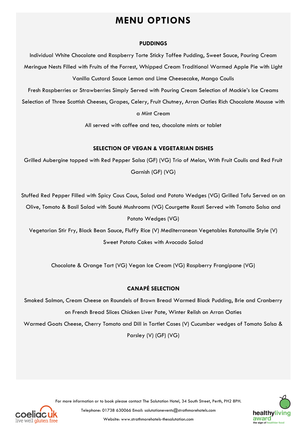# **MENU OPTIONS**

## **PUDDINGS**

Individual White Chocolate and Raspberry Torte Sticky Toffee Pudding, Sweet Sauce, Pouring Cream Meringue Nests Filled with Fruits of the Forrest, Whipped Cream Traditional Warmed Apple Pie with Light Vanilla Custard Sauce Lemon and Lime Cheesecake, Mango Coulis

Fresh Raspberries or Strawberries Simply Served with Pouring Cream Selection of Mackie's Ice Creams Selection of Three Scottish Cheeses, Grapes, Celery, Fruit Chutney, Arran Oaties Rich Chocolate Mousse with

# a Mint Cream

All served with coffee and tea, chocolate mints or tablet

# **SELECTION OF VEGAN & VEGETARIAN DISHES**

Grilled Aubergine topped with Red Pepper Salsa (GF) (VG) Trio of Melon, With Fruit Coulis and Red Fruit Garnish (GF) (VG)

Stuffed Red Pepper Filled with Spicy Cous Cous, Salad and Potato Wedges (VG) Grilled Tofu Served on an

Olive, Tomato & Basil Salad with Sauté Mushrooms (VG) Courgette Rossti Served with Tomato Salsa and Potato Wedges (VG)

Vegetarian Stir Fry, Black Bean Sauce, Fluffy Rice (V) Mediterranean Vegetables Ratatouille Style (V) Sweet Potato Cakes with Avocado Salad

Chocolate & Orange Tart (VG) Vegan Ice Cream (VG) Raspberry Frangipane (VG)

# **CANAPÉ SELECTION**

Smoked Salmon, Cream Cheese on Roundels of Brown Bread Warmed Black Pudding, Brie and Cranberry on French Bread Slices Chicken Liver Pate, Winter Relish on Arran Oaties

Warmed Goats Cheese, Cherry Tomato and Dill in Tartlet Cases (V) Cucumber wedges of Tomato Salsa &

Parsley (V) (GF) (VG)



For more information or to book please contact The Salutation Hotel, 34 South Street, Perth, PH2 8PH.

Telephone: 01738 630066 Email: salutationevents@strathmorehotels.com

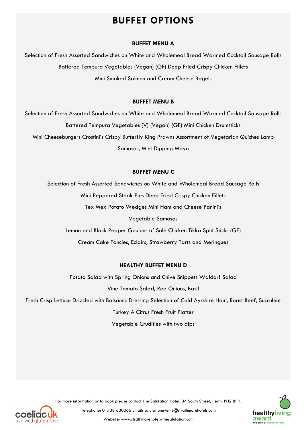# **BUFFET OPTIONS**

# **BUFFET MENU A**

Selection of Fresh Assorted Sandwiches on White and Wholemeal Bread Warmed Cocktail Sausage Rolls Battered Tempura Vegetables (Vegan) (GF) Deep Fried Crispy Chicken Fillets Mini Smoked Salmon and Cream Cheese Bagels

# **BUFFET MENU B**

Selection of Fresh Assorted Sandwiches on White and Wholemeal Bread Warmed Cocktail Sausage Rolls Battered Tempura Vegetables (V) (Vegan) (GF) Mini Chicken Drumsticks Mini Cheeseburgers Crostini's Crispy Butterfly King Prawns Assortment of Vegetarian Quiches Lamb Samosas, Mint Dipping Mayo

# **BUFFET MENU C**

Selection of Fresh Assorted Sandwiches on White and Wholemeal Bread Sausage Rolls Mini Peppered Steak Pies Deep Fried Crispy Chicken Fillets Tex Mex Potato Wedges Mini Ham and Cheese Panini's

Vegetable Samosas

Lemon and Black Pepper Goujons of Sole Chicken Tikka Split Sticks (GF)

Cream Cake Fancies, Eclairs, Strawberry Tarts and Meringues

# **HEALTHY BUFFET MENU D**

Potato Salad with Spring Onions and Chive Snippets Waldorf Salad Vine Tomato Salad, Red Onions, Basil

Fresh Crisp Lettuce Drizzled with Balsamic Dressing Selection of Cold Ayrshire Ham, Roast Beef, Succulent

Turkey A Citrus Fresh Fruit Platter

Vegetable Crudities with two dips



For more information or to book please contact The Salutation Hotel, 34 South Street, Perth, PH2 8PH.

live well **gluten free** 

Telephone: 01738 630066 Email: salutationevents@strathmorehotels.com Website: www.strathmorehotels-thesalutation.com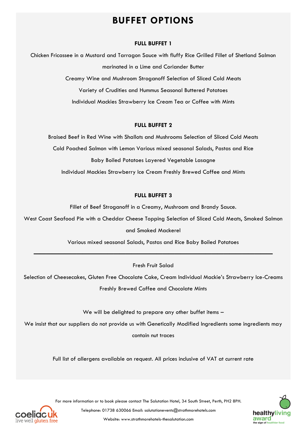# **BUFFET OPTIONS**

## **FULL BUFFET 1**

Chicken Fricassee in a Mustard and Tarragon Sauce with fluffy Rice Grilled Fillet of Shetland Salmon marinated in a Lime and Coriander Butter Creamy Wine and Mushroom Stroganoff Selection of Sliced Cold Meats Variety of Crudities and Hummus Seasonal Buttered Potatoes Individual Mackies Strawberry Ice Cream Tea or Coffee with Mints

# **FULL BUFFET 2**

Braised Beef in Red Wine with Shallots and Mushrooms Selection of Sliced Cold Meats Cold Poached Salmon with Lemon Various mixed seasonal Salads, Pastas and Rice Baby Boiled Potatoes Layered Vegetable Lasagne Individual Mackies Strawberry Ice Cream Freshly Brewed Coffee and Mints

# **FULL BUFFET 3**

Fillet of Beef Stroganoff in a Creamy, Mushroom and Brandy Sauce.

West Coast Seafood Pie with a Cheddar Cheese Topping Selection of Sliced Cold Meats, Smoked Salmon

# and Smoked Mackerel

Various mixed seasonal Salads, Pastas and Rice Baby Boiled Potatoes

Fresh Fruit Salad

**———————————————————————————————————————**

Selection of Cheesecakes, Gluten Free Chocolate Cake, Cream Individual Mackie's Strawberry Ice-Creams Freshly Brewed Coffee and Chocolate Mints

We will be delighted to prepare any other buffet items –

We insist that our suppliers do not provide us with Genetically Modified Ingredients some ingredients may

contain nut traces

Full list of allergens available on request. All prices inclusive of VAT at current rate



For more information or to book please contact The Salutation Hotel, 34 South Street, Perth, PH2 8PH.

Telephone: 01738 630066 Email: salutationevents@strathmorehotels.com

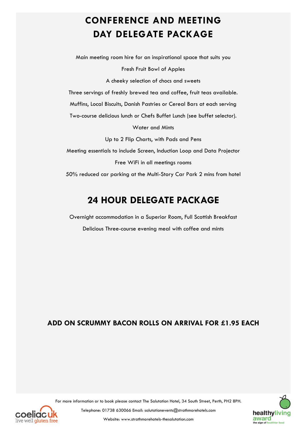# **CONFERENCE AND MEETING DAY DELEGATE PACKAGE**

Main meeting room hire for an inspirational space that suits you Fresh Fruit Bowl of Apples A cheeky selection of chocs and sweets Three servings of freshly brewed tea and coffee, fruit teas available. Muffins, Local Biscuits, Danish Pastries or Cereal Bars at each serving Two-course delicious lunch or Chefs Buffet Lunch (see buffet selector). Water and Mints Up to 2 Flip Charts, with Pads and Pens Meeting essentials to include Screen, Induction Loop and Data Projector Free WiFi in all meetings rooms

50% reduced car parking at the Multi-Story Car Park 2 mins from hotel

# **24 HOUR DELEGATE PACKAGE**

Overnight accommodation in a Superior Room, Full Scottish Breakfast Delicious Three-course evening meal with coffee and mints

# **ADD ON SCRUMMY BACON ROLLS ON ARRIVAL FOR £1.95 EACH**



For more information or to book please contact The Salutation Hotel, 34 South Street, Perth, PH2 8PH.

Telephone: 01738 630066 Email: salutationevents@strathmorehotels.com

live well gluten free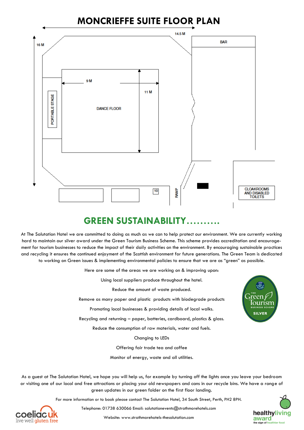

# **GREEN SUSTAINABILITY……….**

At The Salutation Hotel we are committed to doing as much as we can to help protect our environment. We are currently working hard to maintain our silver award under the Green Tourism Business Scheme. This scheme provides accreditation and encouragement for tourism businesses to reduce the impact of their daily activities on the environment. By encouraging sustainable practices and recycling it ensures the continued enjoyment of the Scottish environment for future generations. The Green Team is dedicated to working on Green issues & implementing environmental policies to ensure that we are as "green" as possible.

Here are some of the areas we are working on & improving upon:

Using local suppliers produce throughout the hotel.

Reduce the amount of waste produced.

Remove as many paper and plastic products with biodegrade products

Promoting local businesses & providing details of local walks.

Recycling and returning – paper, batteries, cardboard, plastics & glass.

Reduce the consumption of raw materials, water and fuels.

Changing to LEDs

Offering fair trade tea and coffee

Monitor of energy, waste and all utilities.

As a guest at The Salutation Hotel, we hope you will help us, for example by turning off the lights once you leave your bedroom or visiting one of our local and free attractions or placing your old newspapers and cans in our recycle bins. We have a range of green updates in our green folder on the first floor landing.

For more information or to book please contact The Salutation Hotel, 34 South Street, Perth, PH2 8PH.

**healthyliving** award the sign of healthier foo

ireen 6 lourism

**SILVER**